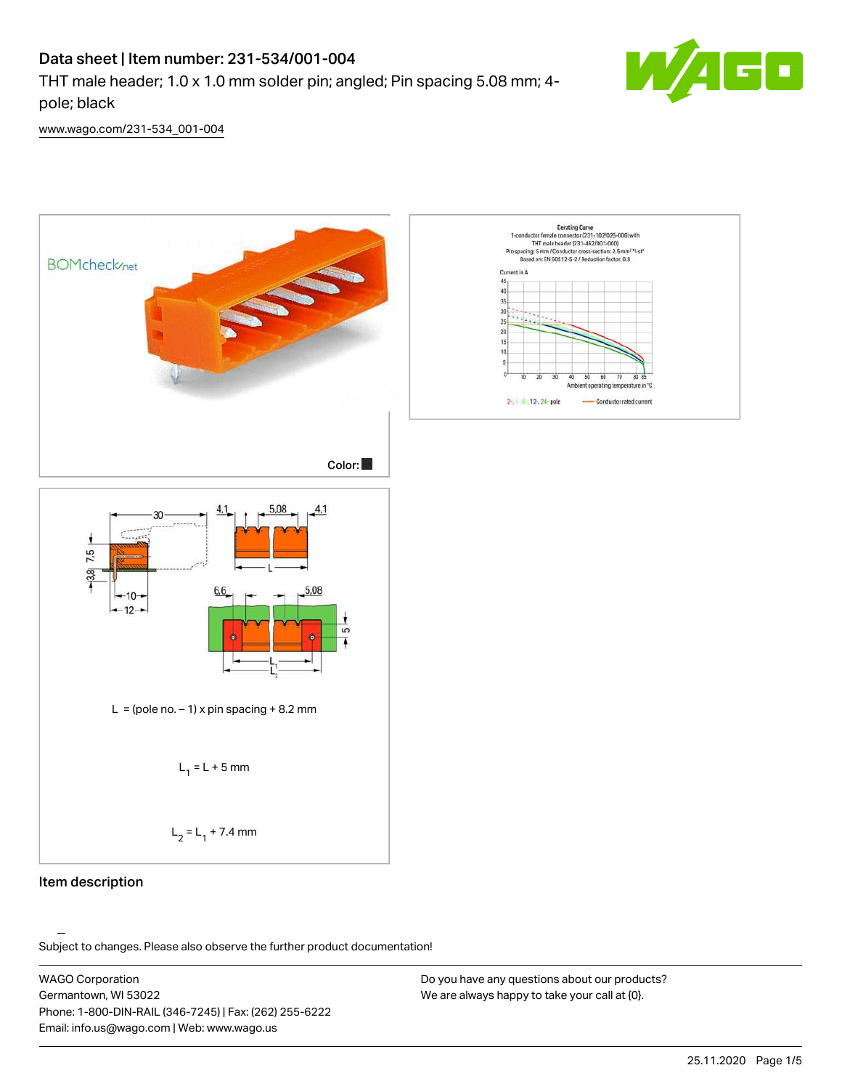# Data sheet | Item number: 231-534/001-004

THT male header; 1.0 x 1.0 mm solder pin; angled; Pin spacing 5.08 mm; 4 pole; black



[www.wago.com/231-534\\_001-004](http://www.wago.com/231-534_001-004)



#### Item description

.<br>Subject to changes. Please also observe the further product documentation!

WAGO Corporation Germantown, WI 53022 Phone: 1-800-DIN-RAIL (346-7245) | Fax: (262) 255-6222 Email: info.us@wago.com | Web: www.wago.us

Do you have any questions about our products? We are always happy to take your call at {0}.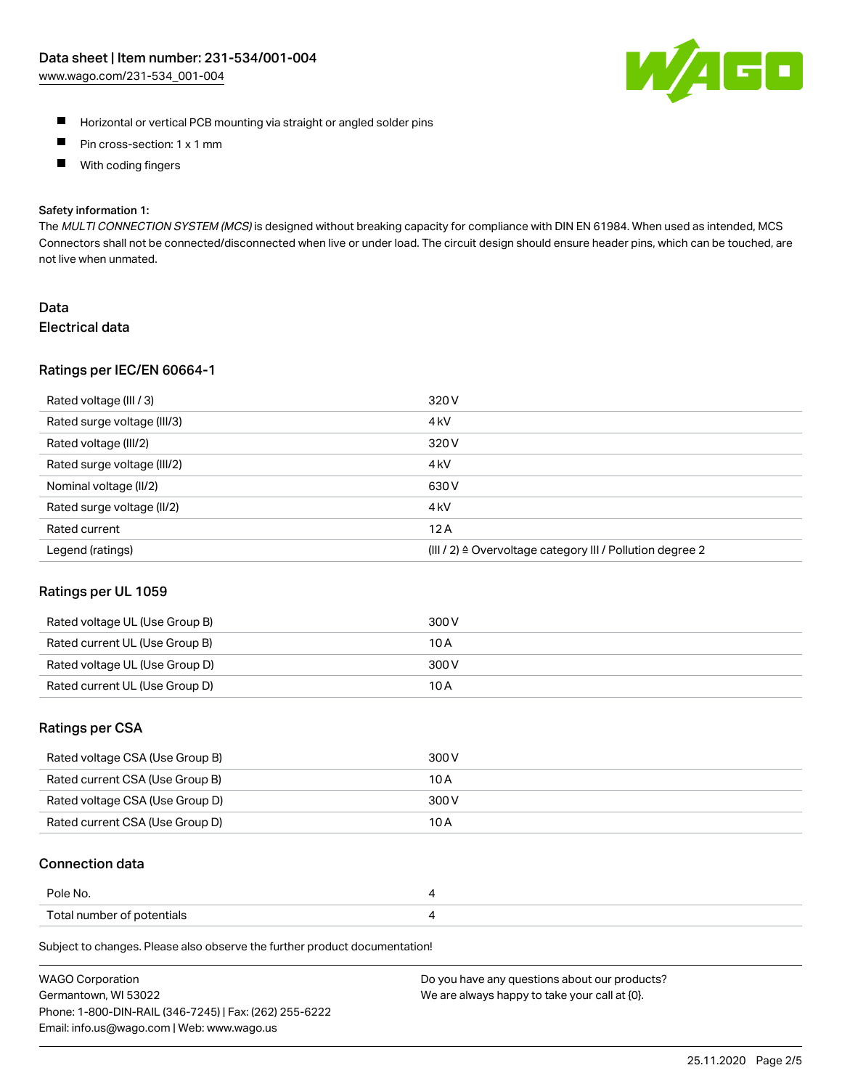

- **Horizontal or vertical PCB mounting via straight or angled solder pins**
- $\blacksquare$ Pin cross-section: 1 x 1 mm
- With coding fingers  $\blacksquare$

#### Safety information 1:

The MULTI CONNECTION SYSTEM (MCS) is designed without breaking capacity for compliance with DIN EN 61984. When used as intended, MCS Connectors shall not be connected/disconnected when live or under load. The circuit design should ensure header pins, which can be touched, are not live when unmated.

### Data Electrical data

#### Ratings per IEC/EN 60664-1

| Rated voltage (III / 3)     | 320 V                                                                 |
|-----------------------------|-----------------------------------------------------------------------|
| Rated surge voltage (III/3) | 4 <sub>k</sub> V                                                      |
| Rated voltage (III/2)       | 320 V                                                                 |
| Rated surge voltage (III/2) | 4 <sub>kV</sub>                                                       |
| Nominal voltage (II/2)      | 630 V                                                                 |
| Rated surge voltage (II/2)  | 4 <sub>k</sub> V                                                      |
| Rated current               | 12A                                                                   |
| Legend (ratings)            | $(III / 2)$ $\triangle$ Overvoltage category III / Pollution degree 2 |

#### Ratings per UL 1059

| Rated voltage UL (Use Group B) | 300 V |
|--------------------------------|-------|
| Rated current UL (Use Group B) | 10 A  |
| Rated voltage UL (Use Group D) | 300 V |
| Rated current UL (Use Group D) | 10 A  |

# Ratings per CSA

| Rated voltage CSA (Use Group B) | 300 V |
|---------------------------------|-------|
| Rated current CSA (Use Group B) | 10 A  |
| Rated voltage CSA (Use Group D) | 300 V |
| Rated current CSA (Use Group D) | 10 A  |

# Connection data

| Pole No.                   |  |
|----------------------------|--|
| Total number of potentials |  |

Subject to changes. Please also observe the further product documentation!

| <b>WAGO Corporation</b>                                | Do you have any questions about our products? |
|--------------------------------------------------------|-----------------------------------------------|
| Germantown, WI 53022                                   | We are always happy to take your call at {0}. |
| Phone: 1-800-DIN-RAIL (346-7245)   Fax: (262) 255-6222 |                                               |
| Email: info.us@wago.com   Web: www.wago.us             |                                               |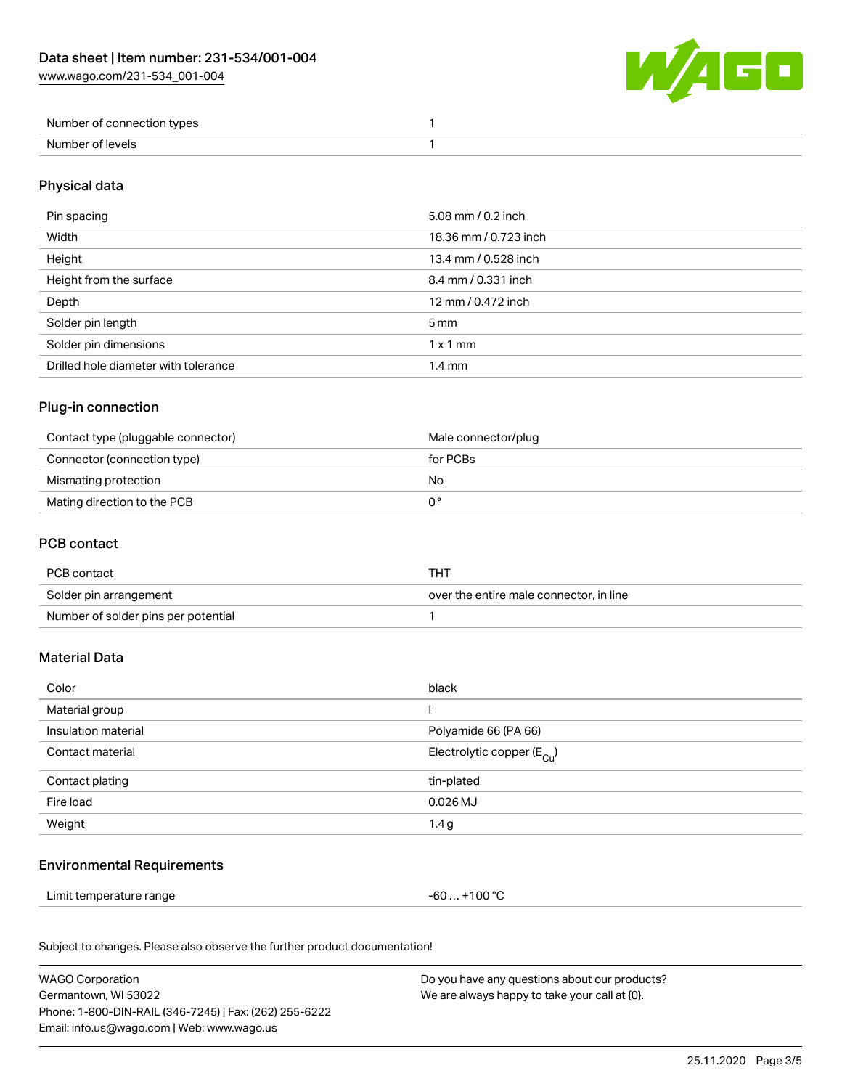[www.wago.com/231-534\\_001-004](http://www.wago.com/231-534_001-004)



| Number of connection types |  |
|----------------------------|--|
| Number of levels           |  |

# Physical data

| Pin spacing                          | 5.08 mm / 0.2 inch    |
|--------------------------------------|-----------------------|
| Width                                | 18.36 mm / 0.723 inch |
| Height                               | 13.4 mm / 0.528 inch  |
| Height from the surface              | 8.4 mm / 0.331 inch   |
| Depth                                | 12 mm / 0.472 inch    |
| Solder pin length                    | $5 \,\mathrm{mm}$     |
| Solder pin dimensions                | $1 \times 1$ mm       |
| Drilled hole diameter with tolerance | $1.4 \text{ mm}$      |

# Plug-in connection

| Contact type (pluggable connector) | Male connector/plug |
|------------------------------------|---------------------|
| Connector (connection type)        | for PCBs            |
| Mismating protection               | No                  |
| Mating direction to the PCB        |                     |

#### PCB contact

| PCB contact                         | THT                                     |
|-------------------------------------|-----------------------------------------|
| Solder pin arrangement              | over the entire male connector, in line |
| Number of solder pins per potential |                                         |

# Material Data

| Color               | black                                 |
|---------------------|---------------------------------------|
| Material group      |                                       |
| Insulation material | Polyamide 66 (PA 66)                  |
| Contact material    | Electrolytic copper $(E_{\text{Cl}})$ |
| Contact plating     | tin-plated                            |
| Fire load           | $0.026$ MJ                            |
| Weight              | 1.4g                                  |

# Environmental Requirements

Limit temperature range  $-60... +100$  °C

Subject to changes. Please also observe the further product documentation!

| <b>WAGO Corporation</b>                                | Do you have any questions about our products? |
|--------------------------------------------------------|-----------------------------------------------|
| Germantown. WI 53022                                   | We are always happy to take your call at {0}. |
| Phone: 1-800-DIN-RAIL (346-7245)   Fax: (262) 255-6222 |                                               |
| Email: info.us@wago.com   Web: www.wago.us             |                                               |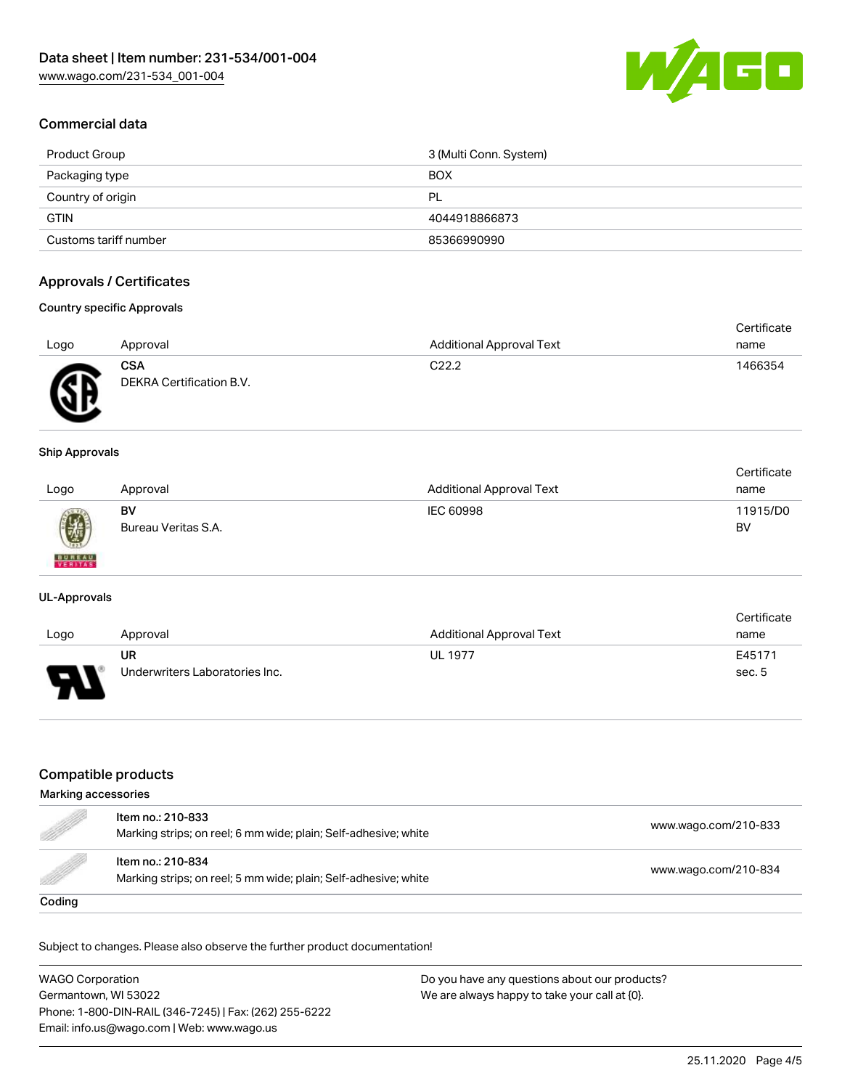

# Commercial data

| Product Group         | 3 (Multi Conn. System) |
|-----------------------|------------------------|
| Packaging type        | <b>BOX</b>             |
| Country of origin     | PL                     |
| <b>GTIN</b>           | 4044918866873          |
| Customs tariff number | 85366990990            |

# Approvals / Certificates

#### Country specific Approvals

| Logo              | Approval                               | <b>Additional Approval Text</b> | Certificate<br>name |
|-------------------|----------------------------------------|---------------------------------|---------------------|
| <b>RE</b><br>متعد | <b>CSA</b><br>DEKRA Certification B.V. | C <sub>22.2</sub>               | 1466354             |

#### Ship Approvals

| Logo          | Approval            | <b>Additional Approval Text</b> | Certificate<br>name |
|---------------|---------------------|---------------------------------|---------------------|
| 0             | BV                  | IEC 60998                       | 11915/D0            |
| <b>BUREAU</b> | Bureau Veritas S.A. |                                 | BV                  |

#### UL-Approvals

|      |                                |                          | Certificate |
|------|--------------------------------|--------------------------|-------------|
| Logo | Approval                       | Additional Approval Text | name        |
|      | UR                             | <b>UL 1977</b>           | E45171      |
| D    | Underwriters Laboratories Inc. |                          | sec. 5      |

# Compatible products

#### Marking accessories

| e de la completa de la completa de la completa de la completa de la completa de la completa de la completa de<br>La completa de la completa de la completa de la completa de la completa de la completa de la completa de la co | Item no.: 210-833<br>Marking strips; on reel; 6 mm wide; plain; Self-adhesive; white | www.wago.com/210-833 |
|---------------------------------------------------------------------------------------------------------------------------------------------------------------------------------------------------------------------------------|--------------------------------------------------------------------------------------|----------------------|
| <b>Sold in the Company's Security And Street</b>                                                                                                                                                                                | Item no.: 210-834<br>Marking strips; on reel; 5 mm wide; plain; Self-adhesive; white | www.wago.com/210-834 |
| Coding                                                                                                                                                                                                                          |                                                                                      |                      |

Subject to changes. Please also observe the further product documentation!

WAGO Corporation Germantown, WI 53022 Phone: 1-800-DIN-RAIL (346-7245) | Fax: (262) 255-6222 Email: info.us@wago.com | Web: www.wago.us Do you have any questions about our products? We are always happy to take your call at {0}.